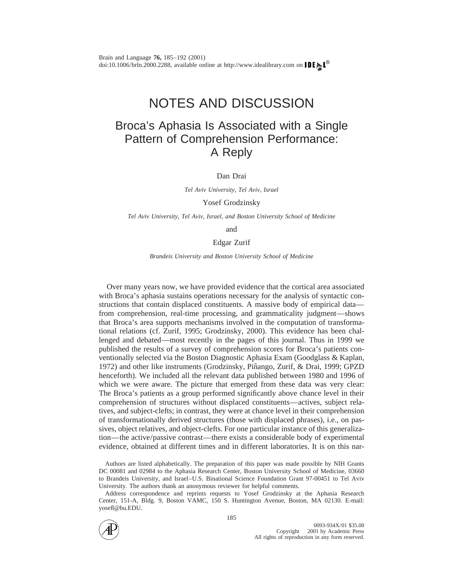# NOTES AND DISCUSSION

## Broca's Aphasia Is Associated with a Single Pattern of Comprehension Performance: A Reply

## Dan Drai

*Tel Aviv University, Tel Aviv, Israel*

#### Yosef Grodzinsky

*Tel Aviv University, Tel Aviv, Israel, and Boston University School of Medicine*

and

## Edgar Zurif

*Brandeis University and Boston University School of Medicine*

Over many years now, we have provided evidence that the cortical area associated with Broca's aphasia sustains operations necessary for the analysis of syntactic constructions that contain displaced constituents. A massive body of empirical data from comprehension, real-time processing, and grammaticality judgment—shows that Broca's area supports mechanisms involved in the computation of transformational relations (cf. Zurif, 1995; Grodzinsky, 2000). This evidence has been challenged and debated—most recently in the pages of this journal. Thus in 1999 we published the results of a survey of comprehension scores for Broca's patients conventionally selected via the Boston Diagnostic Aphasia Exam (Goodglass & Kaplan, 1972) and other like instruments (Grodzinsky, Piñango, Zurif, & Drai, 1999; GPZD henceforth). We included all the relevant data published between 1980 and 1996 of which we were aware. The picture that emerged from these data was very clear: The Broca's patients as a group performed significantly above chance level in their comprehension of structures without displaced constituents—actives, subject relatives, and subject-clefts; in contrast, they were at chance level in their comprehension of transformationally derived structures (those with displaced phrases), i.e., on passives, object relatives, and object-clefts. For one particular instance of this generalization—the active/passive contrast—there exists a considerable body of experimental evidence, obtained at different times and in different laboratories. It is on this nar-

Authors are listed alphabetically. The preparation of this paper was made possible by NIH Grants DC 00081 and 02984 to the Aphasia Research Center, Boston University School of Medicine, 03660 to Brandeis University, and Israel–U.S. Binational Science Foundation Grant 97-00451 to Tel Aviv University. The authors thank an anonymous reviewer for helpful comments.

Address correspondence and reprints requests to Yosef Grodzinsky at the Aphasia Research Center, 151-A, Bldg. 9, Boston VAMC, 150 S. Huntington Avenue, Boston, MA 02130. E-mail: yosefl@bu.EDU.

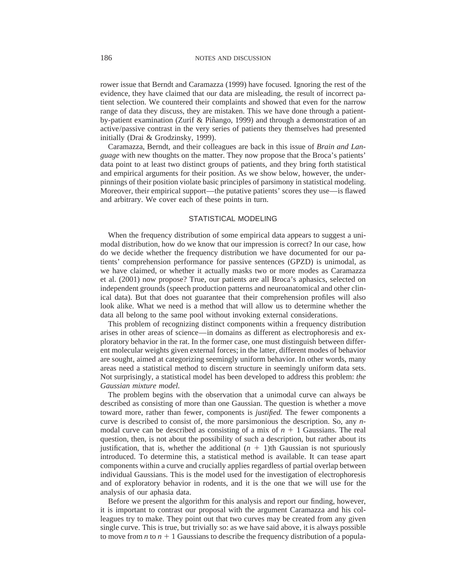rower issue that Berndt and Caramazza (1999) have focused. Ignoring the rest of the evidence, they have claimed that our data are misleading, the result of incorrect patient selection. We countered their complaints and showed that even for the narrow range of data they discuss, they are mistaken. This we have done through a patientby-patient examination (Zurif & Piñango, 1999) and through a demonstration of an active/passive contrast in the very series of patients they themselves had presented initially (Drai & Grodzinsky, 1999).

Caramazza, Berndt, and their colleagues are back in this issue of *Brain and Language* with new thoughts on the matter. They now propose that the Broca's patients' data point to at least two distinct groups of patients, and they bring forth statistical and empirical arguments for their position. As we show below, however, the underpinnings of their position violate basic principles of parsimony in statistical modeling. Moreover, their empirical support—the putative patients' scores they use—is flawed and arbitrary. We cover each of these points in turn.

## STATISTICAL MODELING

When the frequency distribution of some empirical data appears to suggest a unimodal distribution, how do we know that our impression is correct? In our case, how do we decide whether the frequency distribution we have documented for our patients' comprehension performance for passive sentences (GPZD) is unimodal, as we have claimed, or whether it actually masks two or more modes as Caramazza et al. (2001) now propose? True, our patients are all Broca's aphasics, selected on independent grounds (speech production patterns and neuroanatomical and other clinical data). But that does not guarantee that their comprehension profiles will also look alike. What we need is a method that will allow us to determine whether the data all belong to the same pool without invoking external considerations.

This problem of recognizing distinct components within a frequency distribution arises in other areas of science—in domains as different as electrophoresis and exploratory behavior in the rat. In the former case, one must distinguish between different molecular weights given external forces; in the latter, different modes of behavior are sought, aimed at categorizing seemingly uniform behavior. In other words, many areas need a statistical method to discern structure in seemingly uniform data sets. Not surprisingly, a statistical model has been developed to address this problem: *the Gaussian mixture model.*

The problem begins with the observation that a unimodal curve can always be described as consisting of more than one Gaussian. The question is whether a move toward more, rather than fewer, components is *justified.* The fewer components a curve is described to consist of, the more parsimonious the description. So, any *n*modal curve can be described as consisting of a mix of  $n + 1$  Gaussians. The real question, then, is not about the possibility of such a description, but rather about its justification, that is, whether the additional  $(n + 1)$ th Gaussian is not spuriously introduced. To determine this, a statistical method is available. It can tease apart components within a curve and crucially applies regardless of partial overlap between individual Gaussians. This is the model used for the investigation of electrophoresis and of exploratory behavior in rodents, and it is the one that we will use for the analysis of our aphasia data.

Before we present the algorithm for this analysis and report our finding, however, it is important to contrast our proposal with the argument Caramazza and his colleagues try to make. They point out that two curves may be created from any given single curve. This is true, but trivially so: as we have said above, it is always possible to move from *n* to  $n + 1$  Gaussians to describe the frequency distribution of a popula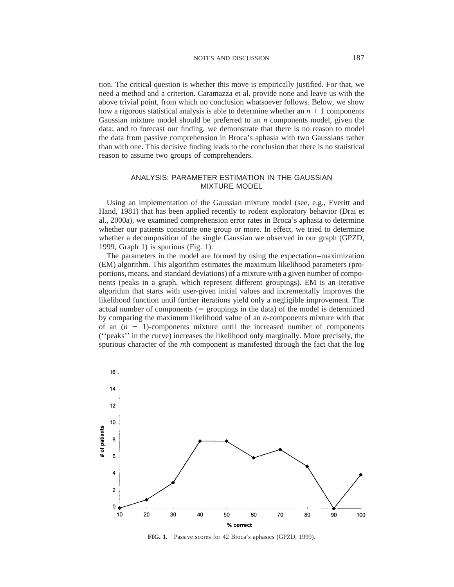tion. The critical question is whether this move is empirically justified. For that, we need a method and a criterion. Caramazza et al. provide none and leave us with the above trivial point, from which no conclusion whatsoever follows. Below, we show how a rigorous statistical analysis is able to determine whether an  $n + 1$  components Gaussian mixture model should be preferred to an *n* components model, given the data; and to forecast our finding, we demonstrate that there is no reason to model the data from passive comprehension in Broca's aphasia with two Gaussians rather than with one. This decisive finding leads to the conclusion that there is no statistical reason to assume two groups of comprehenders.

## ANALYSIS: PARAMETER ESTIMATION IN THE GAUSSIAN MIXTURE MODEL

Using an implementation of the Gaussian mixture model (see, e.g., Everitt and Hand, 1981) that has been applied recently to rodent exploratory behavior (Drai et al., 2000a), we examined comprehension error rates in Broca's aphasia to determine whether our patients constitute one group or more. In effect, we tried to determine whether a decomposition of the single Gaussian we observed in our graph (GPZD, 1999, Graph 1) is spurious (Fig. 1).

The parameters in the model are formed by using the expectation–maximization (EM) algorithm. This algorithm estimates the maximum likelihood parameters (proportions, means, and standard deviations) of a mixture with a given number of components (peaks in a graph, which represent different groupings). EM is an iterative algorithm that starts with user-given initial values and incrementally improves the likelihood function until further iterations yield only a negligible improvement. The actual number of components  $(=$  groupings in the data) of the model is determined by comparing the maximum likelihood value of an *n*-components mixture with that of an  $(n - 1)$ -components mixture until the increased number of components (''peaks'' in the curve) increases the likelihood only marginally. More precisely, the spurious character of the *n*th component is manifested through the fact that the log



**FIG. 1.** Passive scores for 42 Broca's aphasics (GPZD, 1999).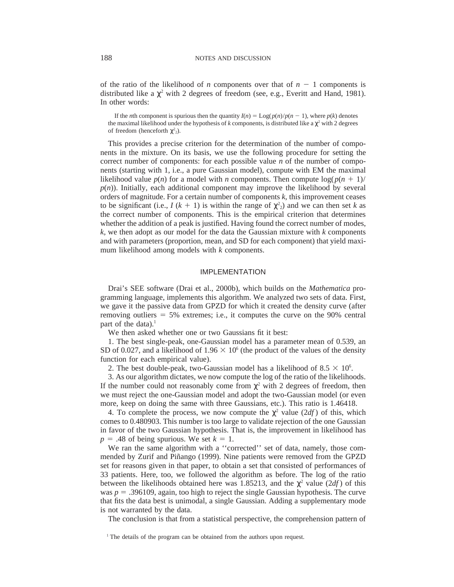of the ratio of the likelihood of *n* components over that of  $n - 1$  components is distributed like a  $\chi^2$  with 2 degrees of freedom (see, e.g., Everitt and Hand, 1981). In other words:

If the *n*th component is spurious then the quantity  $I(n) = \text{Log}(p(n)/p(n-1))$ , where  $p(k)$  denotes the maximal likelihood under the hypothesis of *k* components, is distributed like a  $\chi^2$  with 2 degrees of freedom (henceforth  $\chi^2$ <sub>2</sub>).

This provides a precise criterion for the determination of the number of components in the mixture. On its basis, we use the following procedure for setting the correct number of components: for each possible value *n* of the number of components (starting with 1, i.e., a pure Gaussian model), compute with EM the maximal likelihood value  $p(n)$  for a model with *n* components. Then compute  $log(p(n + 1))$  $p(n)$ ). Initially, each additional component may improve the likelihood by several orders of magnitude. For a certain number of components *k,* this improvement ceases to be significant (i.e.,  $I (k + 1)$  is within the range of  $\chi^2$ <sub>2</sub>) and we can then set *k* as the correct number of components. This is the empirical criterion that determines whether the addition of a peak is justified. Having found the correct number of modes, *k,* we then adopt as our model for the data the Gaussian mixture with *k* components and with parameters (proportion, mean, and SD for each component) that yield maximum likelihood among models with *k* components.

#### IMPLEMENTATION

Drai's SEE software (Drai et al., 2000b), which builds on the *Mathematica* programming language, implements this algorithm. We analyzed two sets of data. First, we gave it the passive data from GPZD for which it created the density curve (after removing outliers  $= 5\%$  extremes; i.e., it computes the curve on the 90% central part of the data). $<sup>1</sup>$ </sup>

We then asked whether one or two Gaussians fit it best:

1. The best single-peak, one-Gaussian model has a parameter mean of 0.539, an SD of 0.027, and a likelihood of  $1.96 \times 10^6$  (the product of the values of the density function for each empirical value).

2. The best double-peak, two-Gaussian model has a likelihood of  $8.5 \times 10^6$ .

3. As our algorithm dictates, we now compute the log of the ratio of the likelihoods. If the number could not reasonably come from  $\chi^2$  with 2 degrees of freedom, then we must reject the one-Gaussian model and adopt the two-Gaussian model (or even more, keep on doing the same with three Gaussians, etc.). This ratio is 1.46418.

4. To complete the process, we now compute the  $\chi^2$  value (2*df*) of this, which comes to 0.480903. This number is too large to validate rejection of the one Gaussian in favor of the two Gaussian hypothesis. That is, the improvement in likelihood has  $p = .48$  of being spurious. We set  $k = 1$ .

We ran the same algorithm with a "corrected" set of data, namely, those commended by Zurif and Piñango (1999). Nine patients were removed from the GPZD set for reasons given in that paper, to obtain a set that consisted of performances of 33 patients. Here, too, we followed the algorithm as before. The log of the ratio between the likelihoods obtained here was 1.85213, and the  $\chi^2$  value (2*df*) of this was  $p = .396109$ , again, too high to reject the single Gaussian hypothesis. The curve that fits the data best is unimodal, a single Gaussian. Adding a supplementary mode is not warranted by the data.

The conclusion is that from a statistical perspective, the comprehension pattern of

<sup>&</sup>lt;sup>1</sup> The details of the program can be obtained from the authors upon request.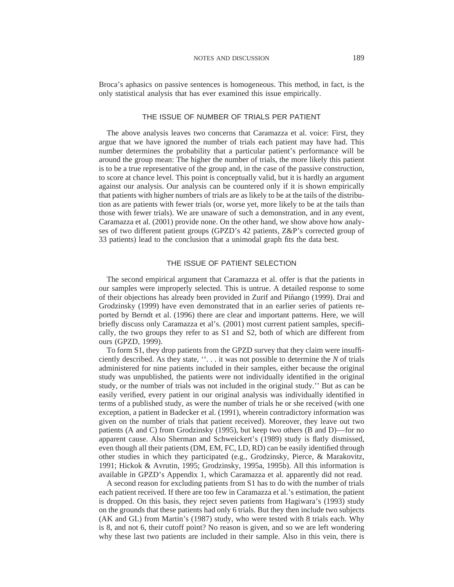Broca's aphasics on passive sentences is homogeneous. This method, in fact, is the only statistical analysis that has ever examined this issue empirically.

## THE ISSUE OF NUMBER OF TRIALS PER PATIENT

The above analysis leaves two concerns that Caramazza et al. voice: First, they argue that we have ignored the number of trials each patient may have had. This number determines the probability that a particular patient's performance will be around the group mean: The higher the number of trials, the more likely this patient is to be a true representative of the group and, in the case of the passive construction, to score at chance level. This point is conceptually valid, but it is hardly an argument against our analysis. Our analysis can be countered only if it is shown empirically that patients with higher numbers of trials are as likely to be at the tails of the distribution as are patients with fewer trials (or, worse yet, more likely to be at the tails than those with fewer trials). We are unaware of such a demonstration, and in any event, Caramazza et al. (2001) provide none. On the other hand, we show above how analyses of two different patient groups (GPZD's 42 patients, Z&P's corrected group of 33 patients) lead to the conclusion that a unimodal graph fits the data best.

## THE ISSUE OF PATIENT SELECTION

The second empirical argument that Caramazza et al. offer is that the patients in our samples were improperly selected. This is untrue. A detailed response to some of their objections has already been provided in Zurif and Piñango (1999). Drai and Grodzinsky (1999) have even demonstrated that in an earlier series of patients reported by Berndt et al. (1996) there are clear and important patterns. Here, we will briefly discuss only Caramazza et al's. (2001) most current patient samples, specifically, the two groups they refer to as S1 and S2, both of which are different from ours (GPZD, 1999).

To form S1, they drop patients from the GPZD survey that they claim were insufficiently described. As they state, ''. . . it was not possible to determine the *N* of trials administered for nine patients included in their samples, either because the original study was unpublished, the patients were not individually identified in the original study, or the number of trials was not included in the original study.'' But as can be easily verified, every patient in our original analysis was individually identified in terms of a published study, as were the number of trials he or she received (with one exception, a patient in Badecker et al. (1991), wherein contradictory information was given on the number of trials that patient received). Moreover, they leave out two patients (A and C) from Grodzinsky (1995), but keep two others (B and D)—for no apparent cause. Also Sherman and Schweickert's (1989) study is flatly dismissed, even though all their patients (DM, EM, FC, LD, RD) can be easily identified through other studies in which they participated (e.g., Grodzinsky, Pierce, & Marakovitz, 1991; Hickok & Avrutin, 1995; Grodzinsky, 1995a, 1995b). All this information is available in GPZD's Appendix 1, which Caramazza et al. apparently did not read.

A second reason for excluding patients from S1 has to do with the number of trials each patient received. If there are too few in Caramazza et al.'s estimation, the patient is dropped. On this basis, they reject seven patients from Hagiwara's (1993) study on the grounds that these patients had only 6 trials. But they then include two subjects (AK and GL) from Martin's (1987) study, who were tested with 8 trials each. Why is 8, and not 6, their cutoff point? No reason is given, and so we are left wondering why these last two patients are included in their sample. Also in this vein, there is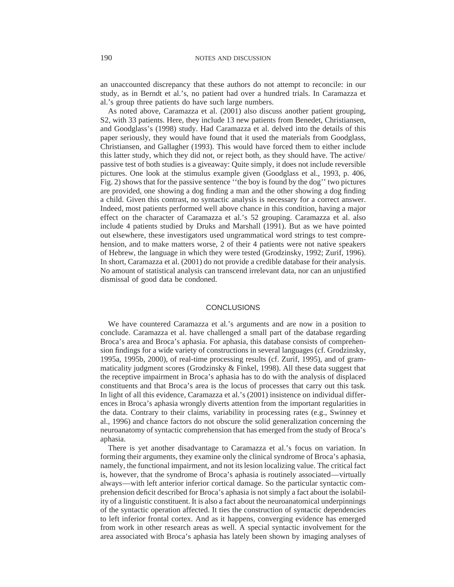an unaccounted discrepancy that these authors do not attempt to reconcile: in our study, as in Berndt et al.'s, no patient had over a hundred trials. In Caramazza et al.'s group three patients do have such large numbers.

As noted above, Caramazza et al. (2001) also discuss another patient grouping, S2, with 33 patients. Here, they include 13 new patients from Benedet, Christiansen, and Goodglass's (1998) study. Had Caramazza et al. delved into the details of this paper seriously, they would have found that it used the materials from Goodglass, Christiansen, and Gallagher (1993). This would have forced them to either include this latter study, which they did not, or reject both, as they should have. The active/ passive test of both studies is a giveaway: Quite simply, it does not include reversible pictures. One look at the stimulus example given (Goodglass et al., 1993, p. 406, Fig. 2) shows that for the passive sentence ''the boy is found by the dog'' two pictures are provided, one showing a dog finding a man and the other showing a dog finding a child. Given this contrast, no syntactic analysis is necessary for a correct answer. Indeed, most patients performed well above chance in this condition, having a major effect on the character of Caramazza et al.'s 52 grouping. Caramazza et al. also include 4 patients studied by Druks and Marshall (1991). But as we have pointed out elsewhere, these investigators used ungrammatical word strings to test comprehension, and to make matters worse, 2 of their 4 patients were not native speakers of Hebrew, the language in which they were tested (Grodzinsky, 1992; Zurif, 1996). In short, Caramazza et al. (2001) do not provide a credible database for their analysis. No amount of statistical analysis can transcend irrelevant data, nor can an unjustified dismissal of good data be condoned.

## **CONCLUSIONS**

We have countered Caramazza et al.'s arguments and are now in a position to conclude. Caramazza et al. have challenged a small part of the database regarding Broca's area and Broca's aphasia. For aphasia, this database consists of comprehension findings for a wide variety of constructions in several languages (cf. Grodzinsky, 1995a, 1995b, 2000), of real-time processing results (cf. Zurif, 1995), and of grammaticality judgment scores (Grodzinsky & Finkel, 1998). All these data suggest that the receptive impairment in Broca's aphasia has to do with the analysis of displaced constituents and that Broca's area is the locus of processes that carry out this task. In light of all this evidence, Caramazza et al.'s (2001) insistence on individual differences in Broca's aphasia wrongly diverts attention from the important regularities in the data. Contrary to their claims, variability in processing rates (e.g., Swinney et al., 1996) and chance factors do not obscure the solid generalization concerning the neuroanatomy of syntactic comprehension that has emerged from the study of Broca's aphasia.

There is yet another disadvantage to Caramazza et al.'s focus on variation. In forming their arguments, they examine only the clinical syndrome of Broca's aphasia, namely, the functional impairment, and not its lesion localizing value. The critical fact is, however, that the syndrome of Broca's aphasia is routinely associated—virtually always—with left anterior inferior cortical damage. So the particular syntactic comprehension deficit described for Broca's aphasia is not simply a fact about the isolability of a linguistic constituent. It is also a fact about the neuroanatomical underpinnings of the syntactic operation affected. It ties the construction of syntactic dependencies to left inferior frontal cortex. And as it happens, converging evidence has emerged from work in other research areas as well. A special syntactic involvement for the area associated with Broca's aphasia has lately been shown by imaging analyses of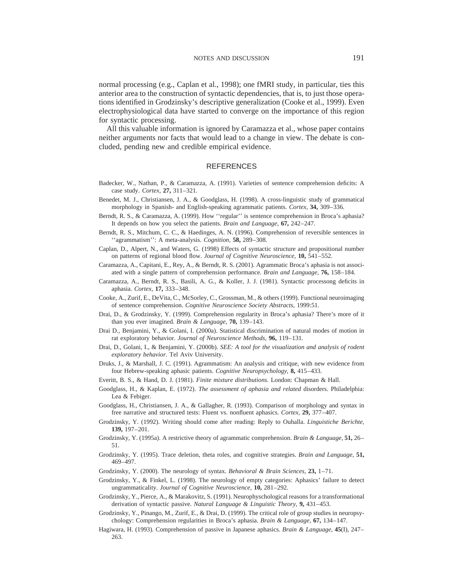normal processing (e.g., Caplan et al., 1998); one fMRI study, in particular, ties this anterior area to the construction of syntactic dependencies, that is, to just those operations identified in Grodzinsky's descriptive generalization (Cooke et al., 1999). Even electrophysiological data have started to converge on the importance of this region for syntactic processing.

All this valuable information is ignored by Caramazza et al., whose paper contains neither arguments nor facts that would lead to a change in view. The debate is concluded, pending new and credible empirical evidence.

## **REFERENCES**

- Badecker, W., Nathan, P., & Caramazza, A. (1991). Varieties of sentence comprehension deficits: A case study. *Cortex,* **27,** 311–321.
- Benedet, M. J., Christiansen, J. A., & Goodglass, H. (1998). A cross-linguistic study of grammatical morphology in Spanish- and English-speaking agrammatic patients. *Cortex,* **34,** 309–336.
- Berndt, R. S., & Caramazza, A. (1999). How ''regular'' is sentence comprehension in Broca's aphasia? It depends on how you select the patients. *Brain and Language,* **67,** 242–247.
- Berndt, R. S., Mitchum, C. C., & Haedinges, A. N. (1996). Comprehension of reversible sentences in ''agrammatism'': A meta-analysis. *Cognition,* **58,** 289–308.
- Caplan, D., Alpert, N., and Waters, G. (1998) Effects of syntactic structure and propositional number on patterns of regional blood flow. *Journal of Cognitive Neuroscience,* **10,** 541–552.
- Caramazza, A., Capitani, E., Rey, A., & Berndt, R. S. (2001). Agrammatic Broca's aphasia is not associated with a single pattern of comprehension performance. *Brain and Language,* **76,** 158–184.
- Caramazza, A., Berndt, R. S., Basili, A. G., & Koller, J. J. (1981). Syntactic processong deficits in aphasia. *Cortex,* **17,** 333–348.
- Cooke, A., Zurif, E., DeVita, C., McSorley, C., Grossman, M., & others (1999). Functional neuroimaging of sentence comprehension. *Cognitive Neuroscience Society Abstracts,* 1999:51.
- Drai, D., & Grodzinsky, Y. (1999). Comprehension regularity in Broca's aphasia? There's more of it than you ever imagined. *Brain & Language,* **70,** 139–143.
- Drai D., Benjamini, Y., & Golani, I. (2000a). Statistical discrimination of natural modes of motion in rat exploratory behavior. *Journal of Neuroscience Methods,* **96,** 119–131.
- Drai, D., Golani, I., & Benjamini, Y. (2000b). *SEE: A tool for the visualization and analysis of rodent exploratory behavior.* Tel Aviv University.
- Druks, J., & Marshall, J. C. (1991). Agrammatism: An analysis and critique, with new evidence from four Hebrew-speaking aphasic patients. *Cognitive Neuropsychology,* **8,** 415–433.
- Everitt, B. S., & Hand, D. J. (1981). *Finite mixture distributions.* London: Chapman & Hall.
- Goodglass, H., & Kaplan, E. (1972). *The assessment of aphasia and related* disorders. Philadelphia: Lea & Febiger.
- Goodglass, H., Christiansen, J. A., & Gallagher, R. (1993). Comparison of morphology and syntax in free narrative and structured tests: Fluent vs. nonfluent aphasics. *Cortex,* **29,** 377–407.
- Grodzinsky, Y. (1992). Writing should come after reading: Reply to Ouhalla. *Linguistiche Berichte,* **139,** 197–201.
- Grodzinsky, Y. (1995a). A restrictive theory of agrammatic comprehension. *Brain & Language,* **51,** 26– 51.
- Grodzinsky, Y. (1995). Trace deletion, theta roles, and cognitive strategies. *Brain and Language,* **51,** 469–497.
- Grodzinsky, Y. (2000). The neurology of syntax. *Behavioral & Brain Sciences,* **23,** 1–71.
- Grodzinsky, Y., & Finkel, L. (1998). The neurology of empty categories: Aphasics' failure to detect ungrammaticality. *Journal of Cognitive Neuroscience,* **10,** 281–292.
- Grodzinsky, Y., Pierce, A., & Marakovitz, S. (1991). Neurophyschological reasons for a transformational derivation of syntactic passive. *Natural Language & Linguistic Theory,* **9,** 431–453.
- Grodzinsky, Y., Pinango, M., Zurif, E., & Drai, D. (1999). The critical role of group studies in neuropsychology: Comprehension regularities in Broca's aphasia. *Brain & Language,* **67,** 134–147.
- Hagiwara, H. (1993). Comprehension of passive in Japanese aphasics. *Brain & Language,* **45**(I), 247– 263.